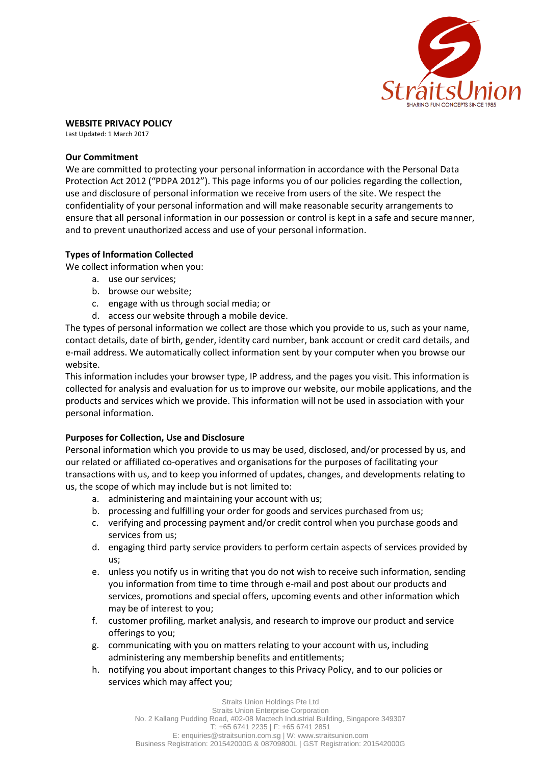

# **WEBSITE PRIVACY POLICY**

Last Updated: 1 March 2017

# **Our Commitment**

We are committed to protecting your personal information in accordance with the Personal Data Protection Act 2012 ("PDPA 2012"). This page informs you of our policies regarding the collection, use and disclosure of personal information we receive from users of the site. We respect the confidentiality of your personal information and will make reasonable security arrangements to ensure that all personal information in our possession or control is kept in a safe and secure manner, and to prevent unauthorized access and use of your personal information.

# **Types of Information Collected**

We collect information when you:

- a. use our services;
- b. browse our website;
- c. engage with us through social media; or
- d. access our website through a mobile device.

The types of personal information we collect are those which you provide to us, such as your name, contact details, date of birth, gender, identity card number, bank account or credit card details, and e-mail address. We automatically collect information sent by your computer when you browse our website.

This information includes your browser type, IP address, and the pages you visit. This information is collected for analysis and evaluation for us to improve our website, our mobile applications, and the products and services which we provide. This information will not be used in association with your personal information.

# **Purposes for Collection, Use and Disclosure**

Personal information which you provide to us may be used, disclosed, and/or processed by us, and our related or affiliated co-operatives and organisations for the purposes of facilitating your transactions with us, and to keep you informed of updates, changes, and developments relating to us, the scope of which may include but is not limited to:

- a. administering and maintaining your account with us;
- b. processing and fulfilling your order for goods and services purchased from us;
- c. verifying and processing payment and/or credit control when you purchase goods and services from us;
- d. engaging third party service providers to perform certain aspects of services provided by us;
- e. unless you notify us in writing that you do not wish to receive such information, sending you information from time to time through e-mail and post about our products and services, promotions and special offers, upcoming events and other information which may be of interest to you;
- f. customer profiling, market analysis, and research to improve our product and service offerings to you;
- g. communicating with you on matters relating to your account with us, including administering any membership benefits and entitlements;
- h. notifying you about important changes to this Privacy Policy, and to our policies or services which may affect you;